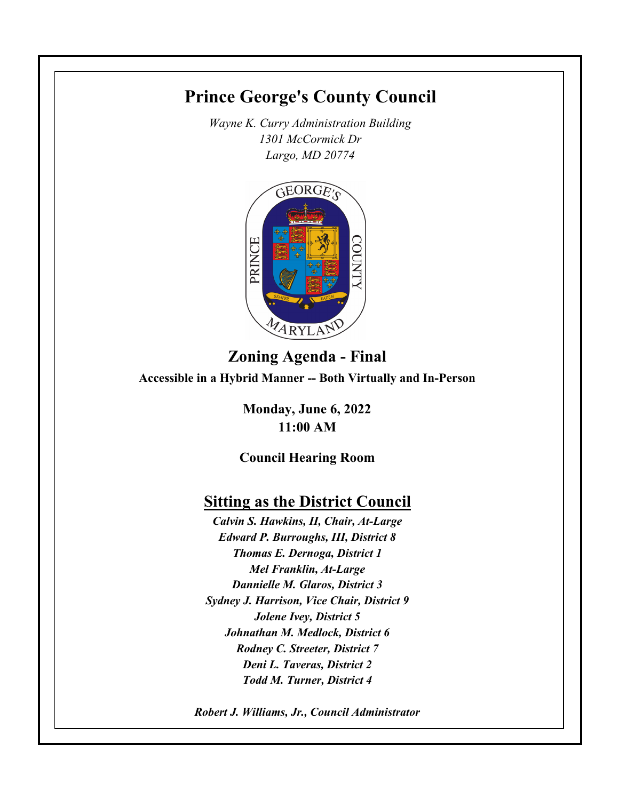# **Prince George's County Council**

*Wayne K. Curry Administration Building 1301 McCormick Dr Largo, MD 20774*



# **Zoning Agenda - Final Accessible in a Hybrid Manner -- Both Virtually and In-Person**

**Monday, June 6, 2022 11:00 AM**

**Council Hearing Room**

# **Sitting as the District Council**

*Calvin S. Hawkins, II, Chair, At-Large Edward P. Burroughs, III, District 8 Thomas E. Dernoga, District 1 Mel Franklin, At-Large Dannielle M. Glaros, District 3 Sydney J. Harrison, Vice Chair, District 9 Jolene Ivey, District 5 Johnathan M. Medlock, District 6 Rodney C. Streeter, District 7 Deni L. Taveras, District 2 Todd M. Turner, District 4*

*Robert J. Williams, Jr., Council Administrator*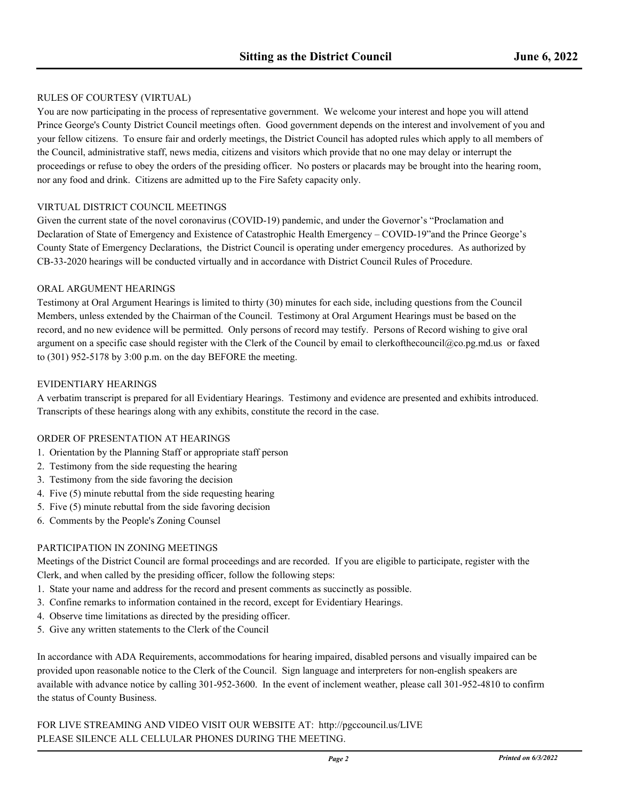#### RULES OF COURTESY (VIRTUAL)

You are now participating in the process of representative government. We welcome your interest and hope you will attend Prince George's County District Council meetings often. Good government depends on the interest and involvement of you and your fellow citizens. To ensure fair and orderly meetings, the District Council has adopted rules which apply to all members of the Council, administrative staff, news media, citizens and visitors which provide that no one may delay or interrupt the proceedings or refuse to obey the orders of the presiding officer. No posters or placards may be brought into the hearing room, nor any food and drink. Citizens are admitted up to the Fire Safety capacity only.

#### VIRTUAL DISTRICT COUNCIL MEETINGS

Given the current state of the novel coronavirus (COVID-19) pandemic, and under the Governor's "Proclamation and Declaration of State of Emergency and Existence of Catastrophic Health Emergency – COVID-19"and the Prince George's County State of Emergency Declarations, the District Council is operating under emergency procedures. As authorized by CB-33-2020 hearings will be conducted virtually and in accordance with District Council Rules of Procedure.

#### ORAL ARGUMENT HEARINGS

Testimony at Oral Argument Hearings is limited to thirty (30) minutes for each side, including questions from the Council Members, unless extended by the Chairman of the Council. Testimony at Oral Argument Hearings must be based on the record, and no new evidence will be permitted. Only persons of record may testify. Persons of Record wishing to give oral argument on a specific case should register with the Clerk of the Council by email to clerkofthecouncil@co.pg.md.us or faxed to (301) 952-5178 by 3:00 p.m. on the day BEFORE the meeting.

#### EVIDENTIARY HEARINGS

A verbatim transcript is prepared for all Evidentiary Hearings. Testimony and evidence are presented and exhibits introduced. Transcripts of these hearings along with any exhibits, constitute the record in the case.

#### ORDER OF PRESENTATION AT HEARINGS

- 1. Orientation by the Planning Staff or appropriate staff person
- 2. Testimony from the side requesting the hearing
- 3. Testimony from the side favoring the decision
- 4. Five (5) minute rebuttal from the side requesting hearing
- 5. Five (5) minute rebuttal from the side favoring decision
- 6. Comments by the People's Zoning Counsel

#### PARTICIPATION IN ZONING MEETINGS

Meetings of the District Council are formal proceedings and are recorded. If you are eligible to participate, register with the Clerk, and when called by the presiding officer, follow the following steps:

- 1. State your name and address for the record and present comments as succinctly as possible.
- 3. Confine remarks to information contained in the record, except for Evidentiary Hearings.
- 4. Observe time limitations as directed by the presiding officer.
- 5. Give any written statements to the Clerk of the Council

In accordance with ADA Requirements, accommodations for hearing impaired, disabled persons and visually impaired can be provided upon reasonable notice to the Clerk of the Council. Sign language and interpreters for non-english speakers are available with advance notice by calling 301-952-3600. In the event of inclement weather, please call 301-952-4810 to confirm the status of County Business.

FOR LIVE STREAMING AND VIDEO VISIT OUR WEBSITE AT: http://pgccouncil.us/LIVE PLEASE SILENCE ALL CELLULAR PHONES DURING THE MEETING.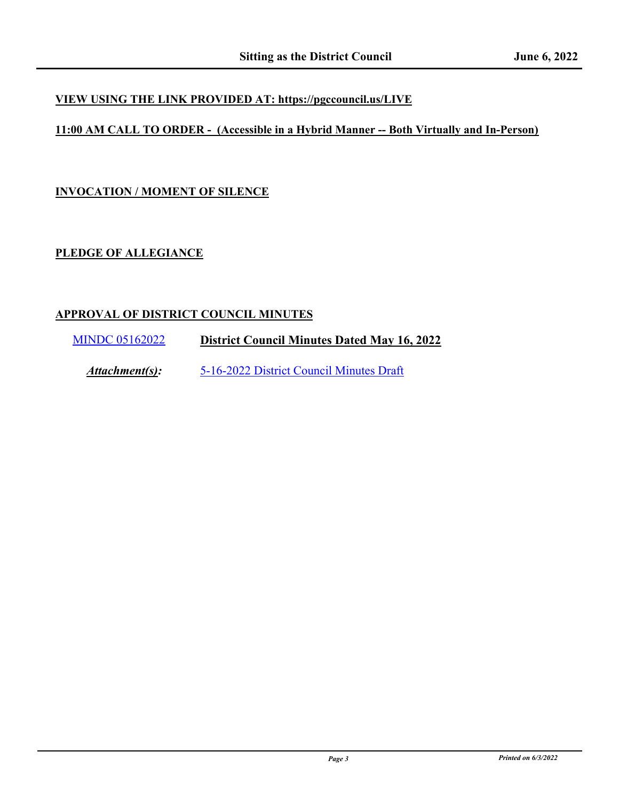## **VIEW USING THE LINK PROVIDED AT: https://pgccouncil.us/LIVE**

## **11:00 AM CALL TO ORDER - (Accessible in a Hybrid Manner -- Both Virtually and In-Person)**

### **INVOCATION / MOMENT OF SILENCE**

## **PLEDGE OF ALLEGIANCE**

### **APPROVAL OF DISTRICT COUNCIL MINUTES**

[MINDC 05162022](http://princegeorgescountymd.legistar.com/gateway.aspx?m=l&id=/matter.aspx?key=15081) **District Council Minutes Dated May 16, 2022**

*Attachment(s):* [5-16-2022 District Council Minutes Draft](http://princegeorgescountymd.legistar.com/gateway.aspx?M=F&ID=0fb4158f-7c2e-49ea-8cd9-95abca3af6e0.pdf)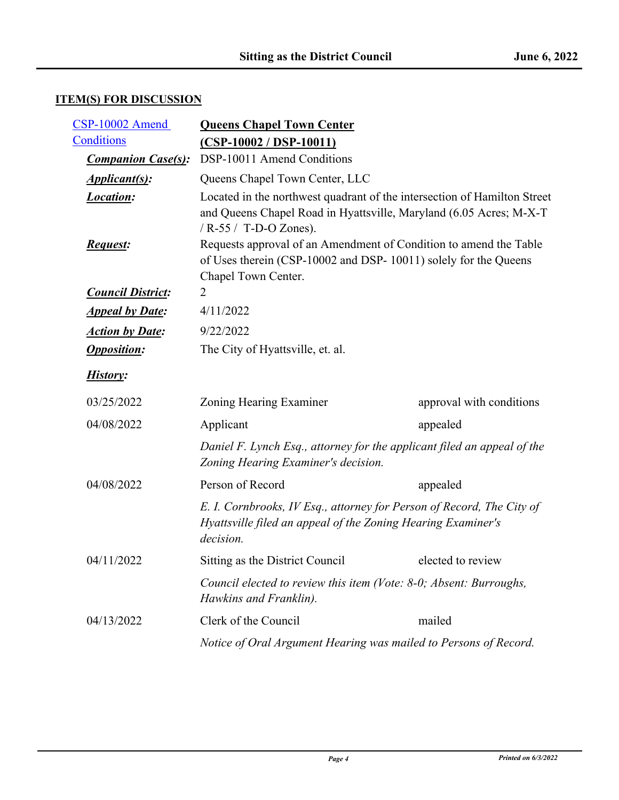# **ITEM(S) FOR DISCUSSION**

| CSP-10002 Amend           | <b>Queens Chapel Town Center</b>                                                                                                                                          |                          |
|---------------------------|---------------------------------------------------------------------------------------------------------------------------------------------------------------------------|--------------------------|
| Conditions                | $(CSP-10002 / DSP-10011)$                                                                                                                                                 |                          |
| <b>Companion Case(s):</b> | DSP-10011 Amend Conditions                                                                                                                                                |                          |
| <i>Applicant(s):</i>      | Queens Chapel Town Center, LLC                                                                                                                                            |                          |
| Location:                 | Located in the northwest quadrant of the intersection of Hamilton Street<br>and Queens Chapel Road in Hyattsville, Maryland (6.05 Acres; M-X-T<br>/ $R-55/$ T-D-O Zones). |                          |
| <b>Request:</b>           | Requests approval of an Amendment of Condition to amend the Table<br>of Uses therein (CSP-10002 and DSP-10011) solely for the Queens<br>Chapel Town Center.               |                          |
| <b>Council District:</b>  | 2                                                                                                                                                                         |                          |
| <b>Appeal by Date:</b>    | 4/11/2022                                                                                                                                                                 |                          |
| <b>Action by Date:</b>    | 9/22/2022                                                                                                                                                                 |                          |
| <b>Opposition:</b>        | The City of Hyattsville, et. al.                                                                                                                                          |                          |
| History:                  |                                                                                                                                                                           |                          |
| 03/25/2022                | Zoning Hearing Examiner                                                                                                                                                   | approval with conditions |
| 04/08/2022                | Applicant                                                                                                                                                                 | appealed                 |
|                           | Daniel F. Lynch Esq., attorney for the applicant filed an appeal of the<br>Zoning Hearing Examiner's decision.                                                            |                          |
| 04/08/2022                | Person of Record                                                                                                                                                          | appealed                 |
|                           | E. I. Cornbrooks, IV Esq., attorney for Person of Record, The City of<br>Hyattsville filed an appeal of the Zoning Hearing Examiner's<br>decision.                        |                          |
| 04/11/2022                | Sitting as the District Council                                                                                                                                           | elected to review        |
|                           | Council elected to review this item (Vote: 8-0; Absent: Burroughs,<br>Hawkins and Franklin).                                                                              |                          |
| 04/13/2022                | Clerk of the Council                                                                                                                                                      | mailed                   |
|                           | Notice of Oral Argument Hearing was mailed to Persons of Record.                                                                                                          |                          |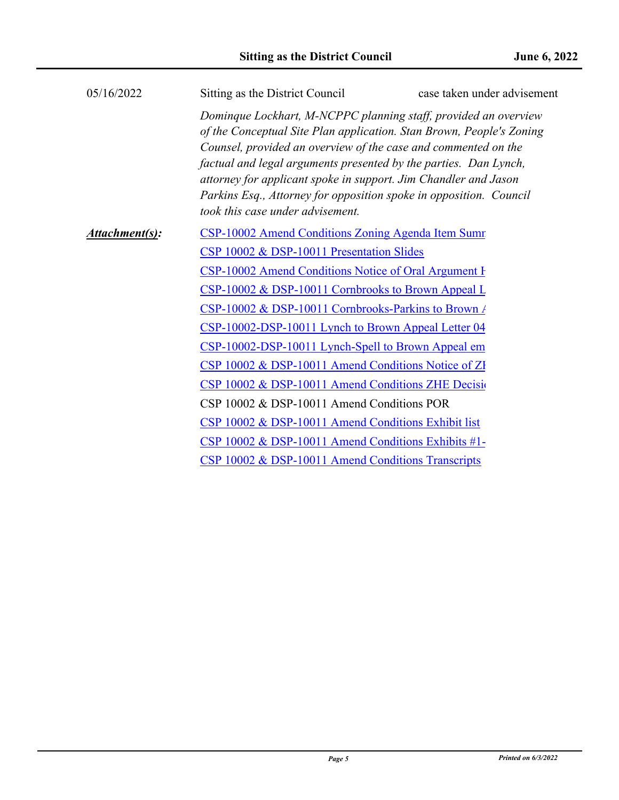| 05/16/2022     | Sitting as the District Council                                                                                                                                                                                                                                                                                                                                                                                                                            | case taken under advisement |
|----------------|------------------------------------------------------------------------------------------------------------------------------------------------------------------------------------------------------------------------------------------------------------------------------------------------------------------------------------------------------------------------------------------------------------------------------------------------------------|-----------------------------|
|                | Dominque Lockhart, M-NCPPC planning staff, provided an overview<br>of the Conceptual Site Plan application. Stan Brown, People's Zoning<br>Counsel, provided an overview of the case and commented on the<br>factual and legal arguments presented by the parties. Dan Lynch,<br>attorney for applicant spoke in support. Jim Chandler and Jason<br>Parkins Esq., Attorney for opposition spoke in opposition. Council<br>took this case under advisement. |                             |
| Attachment(s): | CSP-10002 Amend Conditions Zoning Agenda Item Sumr                                                                                                                                                                                                                                                                                                                                                                                                         |                             |
|                | CSP 10002 & DSP-10011 Presentation Slides                                                                                                                                                                                                                                                                                                                                                                                                                  |                             |
|                | CSP-10002 Amend Conditions Notice of Oral Argument I                                                                                                                                                                                                                                                                                                                                                                                                       |                             |
|                | CSP-10002 & DSP-10011 Cornbrooks to Brown Appeal L                                                                                                                                                                                                                                                                                                                                                                                                         |                             |
|                | CSP-10002 & DSP-10011 Cornbrooks-Parkins to Brown /                                                                                                                                                                                                                                                                                                                                                                                                        |                             |
|                | CSP-10002-DSP-10011 Lynch to Brown Appeal Letter 04                                                                                                                                                                                                                                                                                                                                                                                                        |                             |
|                | CSP-10002-DSP-10011 Lynch-Spell to Brown Appeal em                                                                                                                                                                                                                                                                                                                                                                                                         |                             |
|                | CSP 10002 & DSP-10011 Amend Conditions Notice of ZI                                                                                                                                                                                                                                                                                                                                                                                                        |                             |
|                | CSP 10002 & DSP-10011 Amend Conditions ZHE Decisi                                                                                                                                                                                                                                                                                                                                                                                                          |                             |
|                | CSP 10002 & DSP-10011 Amend Conditions POR                                                                                                                                                                                                                                                                                                                                                                                                                 |                             |
|                | CSP 10002 & DSP-10011 Amend Conditions Exhibit list                                                                                                                                                                                                                                                                                                                                                                                                        |                             |
|                | CSP 10002 & DSP-10011 Amend Conditions Exhibits #1-                                                                                                                                                                                                                                                                                                                                                                                                        |                             |
|                | CSP 10002 & DSP-10011 Amend Conditions Transcripts                                                                                                                                                                                                                                                                                                                                                                                                         |                             |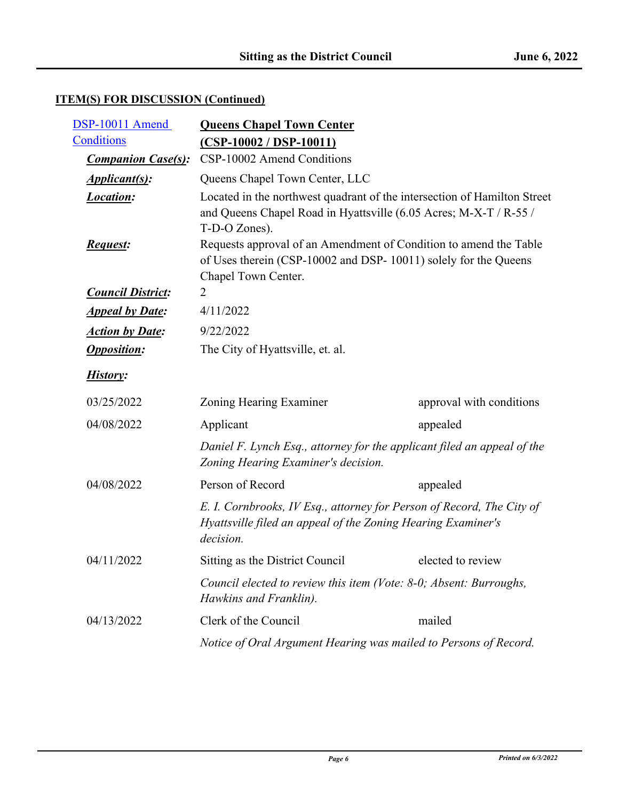| DSP-10011 Amend           | <b>Queens Chapel Town Center</b>                                                                                                                                             |                          |
|---------------------------|------------------------------------------------------------------------------------------------------------------------------------------------------------------------------|--------------------------|
| Conditions                | $(CSP-10002 / DSP-10011)$                                                                                                                                                    |                          |
| <b>Companion Case(s):</b> | CSP-10002 Amend Conditions                                                                                                                                                   |                          |
| <i>Applicant(s):</i>      | Queens Chapel Town Center, LLC                                                                                                                                               |                          |
| <b>Location:</b>          | Located in the northwest quadrant of the intersection of Hamilton Street<br>and Queens Chapel Road in Hyattsville (6.05 Acres; M-X-T / R-55 /                                |                          |
| <b>Request:</b>           | T-D-O Zones).<br>Requests approval of an Amendment of Condition to amend the Table<br>of Uses therein (CSP-10002 and DSP-10011) solely for the Queens<br>Chapel Town Center. |                          |
| <b>Council District:</b>  | 2                                                                                                                                                                            |                          |
| <b>Appeal by Date:</b>    | 4/11/2022                                                                                                                                                                    |                          |
| <b>Action by Date:</b>    | 9/22/2022                                                                                                                                                                    |                          |
| <b>Opposition:</b>        | The City of Hyattsville, et. al.                                                                                                                                             |                          |
| History:                  |                                                                                                                                                                              |                          |
| 03/25/2022                | Zoning Hearing Examiner                                                                                                                                                      | approval with conditions |
| 04/08/2022                | Applicant                                                                                                                                                                    | appealed                 |
|                           | Daniel F. Lynch Esq., attorney for the applicant filed an appeal of the<br>Zoning Hearing Examiner's decision.                                                               |                          |
| 04/08/2022                | Person of Record                                                                                                                                                             | appealed                 |
|                           | E. I. Cornbrooks, IV Esq., attorney for Person of Record, The City of<br>Hyattsville filed an appeal of the Zoning Hearing Examiner's<br>decision.                           |                          |
| 04/11/2022                | Sitting as the District Council                                                                                                                                              | elected to review        |
|                           | Council elected to review this item (Vote: 8-0; Absent: Burroughs,<br>Hawkins and Franklin).                                                                                 |                          |
| 04/13/2022                | Clerk of the Council                                                                                                                                                         | mailed                   |
|                           | Notice of Oral Argument Hearing was mailed to Persons of Record.                                                                                                             |                          |

# **ITEM(S) FOR DISCUSSION (Continued)**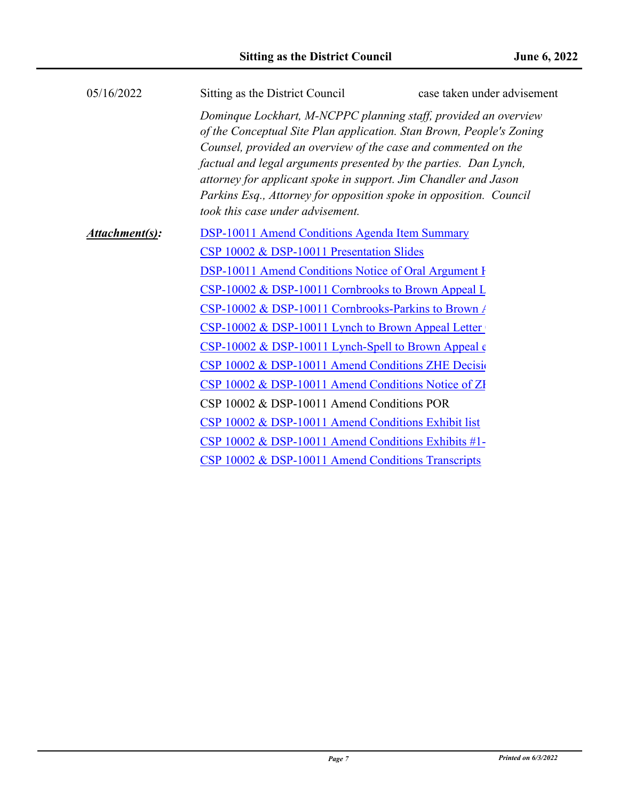| 05/16/2022     | Sitting as the District Council                                                                                                                                                                                                                                                                                                                                                    | case taken under advisement                                          |
|----------------|------------------------------------------------------------------------------------------------------------------------------------------------------------------------------------------------------------------------------------------------------------------------------------------------------------------------------------------------------------------------------------|----------------------------------------------------------------------|
|                | Dominque Lockhart, M-NCPPC planning staff, provided an overview<br>Counsel, provided an overview of the case and commented on the<br>factual and legal arguments presented by the parties. Dan Lynch,<br>attorney for applicant spoke in support. Jim Chandler and Jason<br>Parkins Esq., Attorney for opposition spoke in opposition. Council<br>took this case under advisement. | of the Conceptual Site Plan application. Stan Brown, People's Zoning |
| Attachment(s): | <b>DSP-10011 Amend Conditions Agenda Item Summary</b>                                                                                                                                                                                                                                                                                                                              |                                                                      |
|                | CSP 10002 & DSP-10011 Presentation Slides                                                                                                                                                                                                                                                                                                                                          |                                                                      |
|                | <b>DSP-10011 Amend Conditions Notice of Oral Argument I</b>                                                                                                                                                                                                                                                                                                                        |                                                                      |
|                | CSP-10002 & DSP-10011 Cornbrooks to Brown Appeal L                                                                                                                                                                                                                                                                                                                                 |                                                                      |
|                | CSP-10002 & DSP-10011 Cornbrooks-Parkins to Brown /                                                                                                                                                                                                                                                                                                                                |                                                                      |
|                | CSP-10002 & DSP-10011 Lynch to Brown Appeal Letter                                                                                                                                                                                                                                                                                                                                 |                                                                      |
|                | $CSP-10002 \& DSP-10011$ Lynch-Spell to Brown Appeal $\epsilon$                                                                                                                                                                                                                                                                                                                    |                                                                      |
|                | CSP 10002 & DSP-10011 Amend Conditions ZHE Decisio                                                                                                                                                                                                                                                                                                                                 |                                                                      |
|                | CSP 10002 & DSP-10011 Amend Conditions Notice of ZI                                                                                                                                                                                                                                                                                                                                |                                                                      |
|                | CSP 10002 & DSP-10011 Amend Conditions POR                                                                                                                                                                                                                                                                                                                                         |                                                                      |
|                | CSP 10002 & DSP-10011 Amend Conditions Exhibit list                                                                                                                                                                                                                                                                                                                                |                                                                      |
|                | CSP 10002 & DSP-10011 Amend Conditions Exhibits #1-                                                                                                                                                                                                                                                                                                                                |                                                                      |
|                | CSP 10002 & DSP-10011 Amend Conditions Transcripts                                                                                                                                                                                                                                                                                                                                 |                                                                      |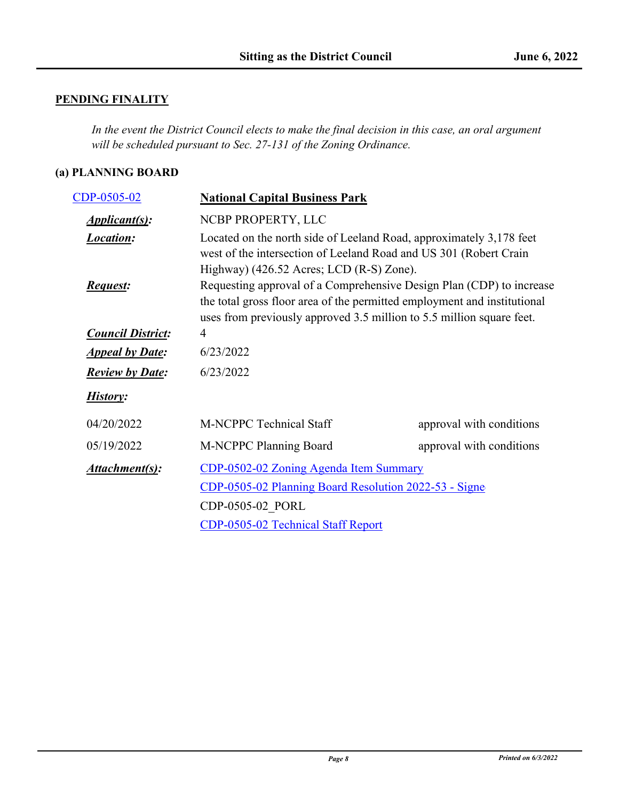# **PENDING FINALITY**

*In the event the District Council elects to make the final decision in this case, an oral argument will be scheduled pursuant to Sec. 27-131 of the Zoning Ordinance.*

## **(a) PLANNING BOARD**

| CDP-0505-02                         | <b>National Capital Business Park</b>                                                                                                                                                                                                                                                                                                                                                                                                             |                          |
|-------------------------------------|---------------------------------------------------------------------------------------------------------------------------------------------------------------------------------------------------------------------------------------------------------------------------------------------------------------------------------------------------------------------------------------------------------------------------------------------------|--------------------------|
| <i><b>Applicant(s):</b></i>         | NCBP PROPERTY, LLC                                                                                                                                                                                                                                                                                                                                                                                                                                |                          |
| <b>Location:</b><br><b>Request:</b> | Located on the north side of Leeland Road, approximately 3,178 feet<br>west of the intersection of Leeland Road and US 301 (Robert Crain<br>Highway) $(426.52 \text{ Aeres}; \text{LCD} (\text{R-S}) \text{ Zone}).$<br>Requesting approval of a Comprehensive Design Plan (CDP) to increase<br>the total gross floor area of the permitted employment and institutional<br>uses from previously approved 3.5 million to 5.5 million square feet. |                          |
| <b>Council District:</b>            | 4                                                                                                                                                                                                                                                                                                                                                                                                                                                 |                          |
| <b>Appeal by Date:</b>              | 6/23/2022                                                                                                                                                                                                                                                                                                                                                                                                                                         |                          |
| <b>Review by Date:</b>              | 6/23/2022                                                                                                                                                                                                                                                                                                                                                                                                                                         |                          |
| History:                            |                                                                                                                                                                                                                                                                                                                                                                                                                                                   |                          |
| 04/20/2022                          | M-NCPPC Technical Staff                                                                                                                                                                                                                                                                                                                                                                                                                           | approval with conditions |
| 05/19/2022                          | M-NCPPC Planning Board                                                                                                                                                                                                                                                                                                                                                                                                                            | approval with conditions |
| Attachment(s):                      | CDP-0502-02 Zoning Agenda Item Summary                                                                                                                                                                                                                                                                                                                                                                                                            |                          |
|                                     | CDP-0505-02 Planning Board Resolution 2022-53 - Signe                                                                                                                                                                                                                                                                                                                                                                                             |                          |
|                                     | CDP-0505-02 PORL                                                                                                                                                                                                                                                                                                                                                                                                                                  |                          |
|                                     | CDP-0505-02 Technical Staff Report                                                                                                                                                                                                                                                                                                                                                                                                                |                          |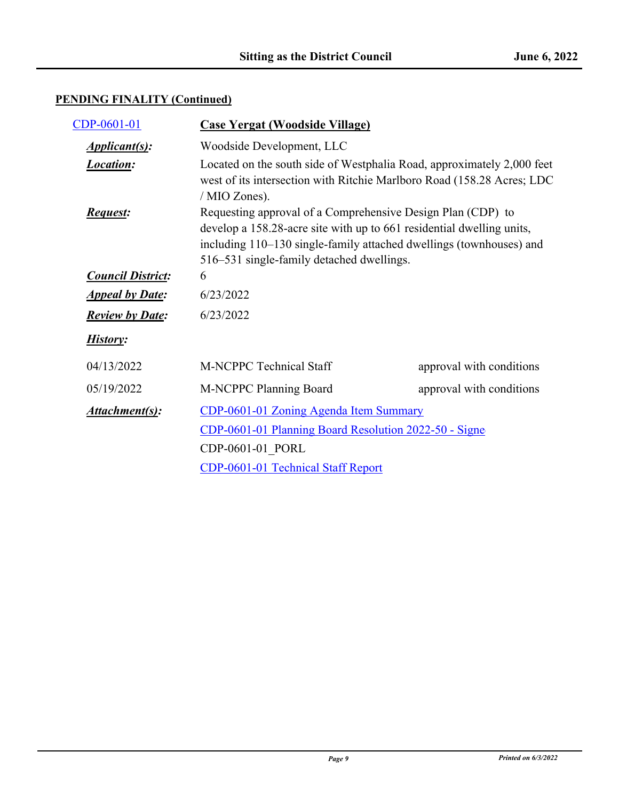| CDP-0601-01              | <b>Case Yergat (Woodside Village)</b>                                                                                                                                                                                                                    |                          |
|--------------------------|----------------------------------------------------------------------------------------------------------------------------------------------------------------------------------------------------------------------------------------------------------|--------------------------|
| <i>Applicant(s):</i>     | Woodside Development, LLC                                                                                                                                                                                                                                |                          |
| <b>Location:</b>         | Located on the south side of Westphalia Road, approximately 2,000 feet<br>west of its intersection with Ritchie Marlboro Road (158.28 Acres; LDC<br>/ MIO Zones).                                                                                        |                          |
| <b>Request:</b>          | Requesting approval of a Comprehensive Design Plan (CDP) to<br>develop a 158.28-acre site with up to 661 residential dwelling units,<br>including 110–130 single-family attached dwellings (townhouses) and<br>516–531 single-family detached dwellings. |                          |
| <b>Council District:</b> | 6                                                                                                                                                                                                                                                        |                          |
| <b>Appeal by Date:</b>   | 6/23/2022                                                                                                                                                                                                                                                |                          |
| <b>Review by Date:</b>   | 6/23/2022                                                                                                                                                                                                                                                |                          |
| History:                 |                                                                                                                                                                                                                                                          |                          |
| 04/13/2022               | <b>M-NCPPC Technical Staff</b>                                                                                                                                                                                                                           | approval with conditions |
| 05/19/2022               | M-NCPPC Planning Board                                                                                                                                                                                                                                   | approval with conditions |
| Attachment(s):           | CDP-0601-01 Zoning Agenda Item Summary                                                                                                                                                                                                                   |                          |
|                          | CDP-0601-01 Planning Board Resolution 2022-50 - Signe<br>CDP-0601-01_PORL                                                                                                                                                                                |                          |
|                          |                                                                                                                                                                                                                                                          |                          |
|                          | CDP-0601-01 Technical Staff Report                                                                                                                                                                                                                       |                          |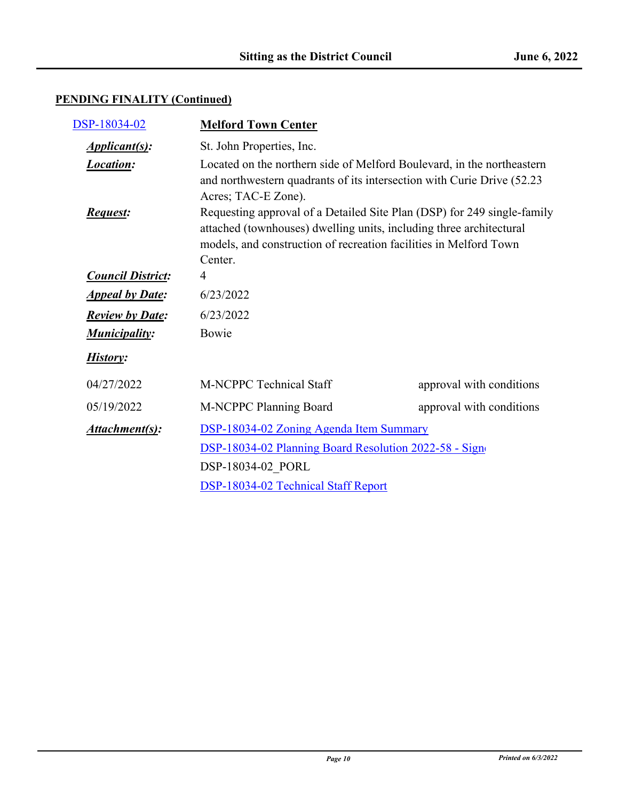| DSP-18034-02                | <b>Melford Town Center</b>                                                                                                                                                                                                     |                          |
|-----------------------------|--------------------------------------------------------------------------------------------------------------------------------------------------------------------------------------------------------------------------------|--------------------------|
| <i><b>Applicant(s):</b></i> | St. John Properties, Inc.                                                                                                                                                                                                      |                          |
| <b>Location:</b>            | Located on the northern side of Melford Boulevard, in the northeastern<br>and northwestern quadrants of its intersection with Curie Drive (52.23)<br>Acres; TAC-E Zone).                                                       |                          |
| <b>Request:</b>             | Requesting approval of a Detailed Site Plan (DSP) for 249 single-family<br>attached (townhouses) dwelling units, including three architectural<br>models, and construction of recreation facilities in Melford Town<br>Center. |                          |
| <b>Council District:</b>    | 4                                                                                                                                                                                                                              |                          |
| <b>Appeal by Date:</b>      | 6/23/2022                                                                                                                                                                                                                      |                          |
| <b>Review by Date:</b>      | 6/23/2022                                                                                                                                                                                                                      |                          |
| <b>Municipality:</b>        | Bowie                                                                                                                                                                                                                          |                          |
| History:                    |                                                                                                                                                                                                                                |                          |
| 04/27/2022                  | M-NCPPC Technical Staff                                                                                                                                                                                                        | approval with conditions |
| 05/19/2022                  | M-NCPPC Planning Board                                                                                                                                                                                                         | approval with conditions |
| Attachment(s):              | DSP-18034-02 Zoning Agenda Item Summary<br>DSP-18034-02 Planning Board Resolution 2022-58 - Sign<br>DSP-18034-02 PORL                                                                                                          |                          |
|                             |                                                                                                                                                                                                                                |                          |
|                             |                                                                                                                                                                                                                                |                          |
|                             | DSP-18034-02 Technical Staff Report                                                                                                                                                                                            |                          |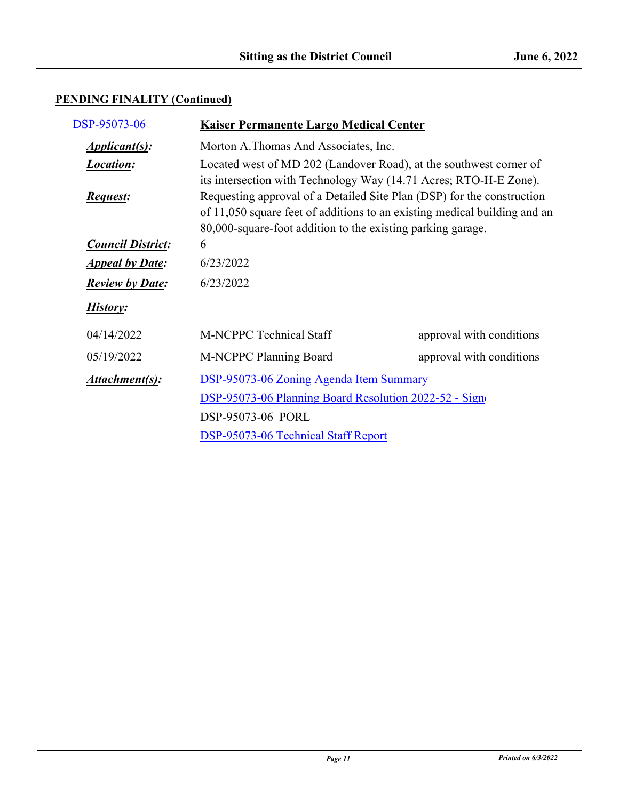| DSP-95073-06                        | <b>Kaiser Permanente Largo Medical Center</b>                                                                                                                                                                      |                          |
|-------------------------------------|--------------------------------------------------------------------------------------------------------------------------------------------------------------------------------------------------------------------|--------------------------|
| <i><u><b>Applicant(s):</b></u></i>  | Morton A.Thomas And Associates, Inc.                                                                                                                                                                               |                          |
| <b>Location:</b>                    | Located west of MD 202 (Landover Road), at the southwest corner of<br>its intersection with Technology Way (14.71 Acres; RTO-H-E Zone).                                                                            |                          |
| <b>Request:</b>                     | Requesting approval of a Detailed Site Plan (DSP) for the construction<br>of 11,050 square feet of additions to an existing medical building and an<br>80,000-square-foot addition to the existing parking garage. |                          |
| <b>Council District:</b>            | 6                                                                                                                                                                                                                  |                          |
| <b>Appeal by Date:</b>              | 6/23/2022                                                                                                                                                                                                          |                          |
| <b>Review by Date:</b>              | 6/23/2022                                                                                                                                                                                                          |                          |
| History:                            |                                                                                                                                                                                                                    |                          |
| 04/14/2022                          | <b>M-NCPPC Technical Staff</b>                                                                                                                                                                                     | approval with conditions |
| 05/19/2022                          | M-NCPPC Planning Board                                                                                                                                                                                             | approval with conditions |
| Attachment(s):                      | DSP-95073-06 Zoning Agenda Item Summary                                                                                                                                                                            |                          |
|                                     | DSP-95073-06 Planning Board Resolution 2022-52 - Sign<br>DSP-95073-06 PORL                                                                                                                                         |                          |
|                                     |                                                                                                                                                                                                                    |                          |
| DSP-95073-06 Technical Staff Report |                                                                                                                                                                                                                    |                          |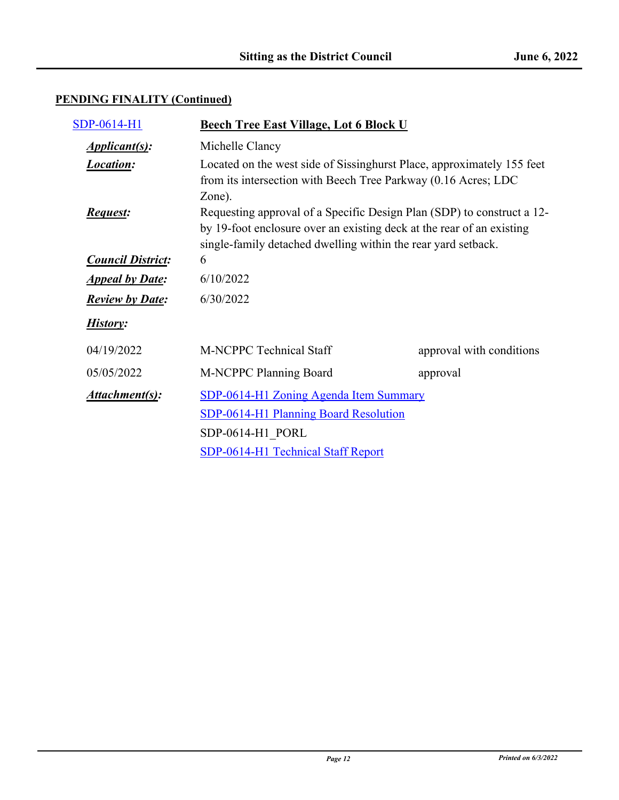| SDP-0614-H1              | <b>Beech Tree East Village, Lot 6 Block U</b>                                                                                                                                                                    |                          |
|--------------------------|------------------------------------------------------------------------------------------------------------------------------------------------------------------------------------------------------------------|--------------------------|
| <i>Applicant(s):</i>     | Michelle Clancy                                                                                                                                                                                                  |                          |
| <b>Location:</b>         | Located on the west side of Sissinghurst Place, approximately 155 feet<br>from its intersection with Beech Tree Parkway (0.16 Acres; LDC<br>Zone).                                                               |                          |
| <b>Request:</b>          | Requesting approval of a Specific Design Plan (SDP) to construct a 12-<br>by 19-foot enclosure over an existing deck at the rear of an existing<br>single-family detached dwelling within the rear yard setback. |                          |
| <b>Council District:</b> | 6                                                                                                                                                                                                                |                          |
| <b>Appeal by Date:</b>   | 6/10/2022                                                                                                                                                                                                        |                          |
| <b>Review by Date:</b>   | 6/30/2022                                                                                                                                                                                                        |                          |
| History:                 |                                                                                                                                                                                                                  |                          |
| 04/19/2022               | <b>M-NCPPC Technical Staff</b>                                                                                                                                                                                   | approval with conditions |
| 05/05/2022               | M-NCPPC Planning Board                                                                                                                                                                                           | approval                 |
| Attachment(s):           | SDP-0614-H1 Zoning Agenda Item Summary                                                                                                                                                                           |                          |
|                          | SDP-0614-H1 Planning Board Resolution                                                                                                                                                                            |                          |
|                          | SDP-0614-H1 PORL                                                                                                                                                                                                 |                          |
|                          | SDP-0614-H1 Technical Staff Report                                                                                                                                                                               |                          |